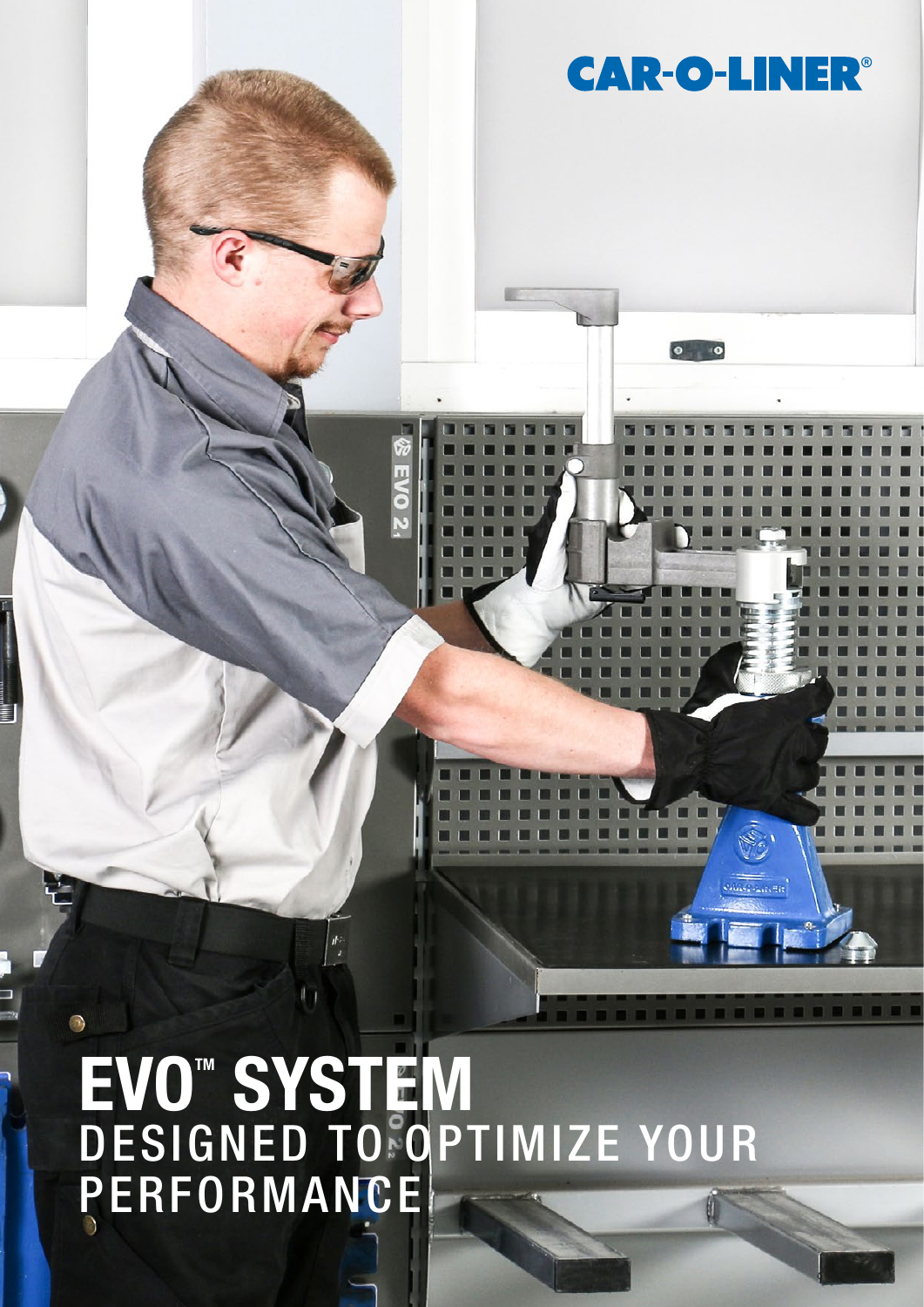# $\bigcirc$ EVO<sup>M</sup> SYSTEM DESIGNED TO OPTIMIZE YOUR **PERFORMANCE**

**CAR-O-LINER®** 

 $\bullet$   $\bullet$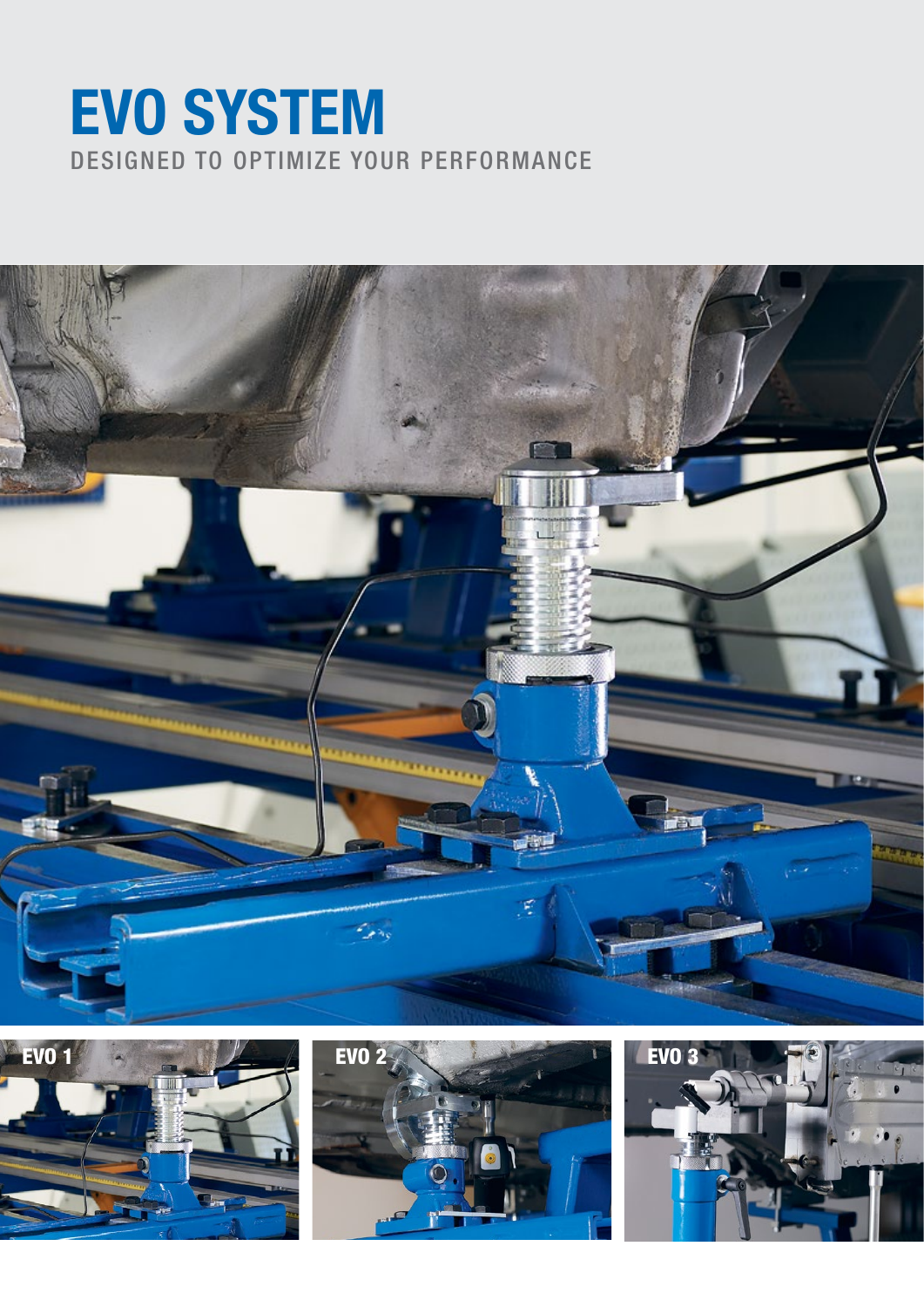## DESIGNED TO OPTIMIZE YOUR PERFORMANCE EVO SYSTEM







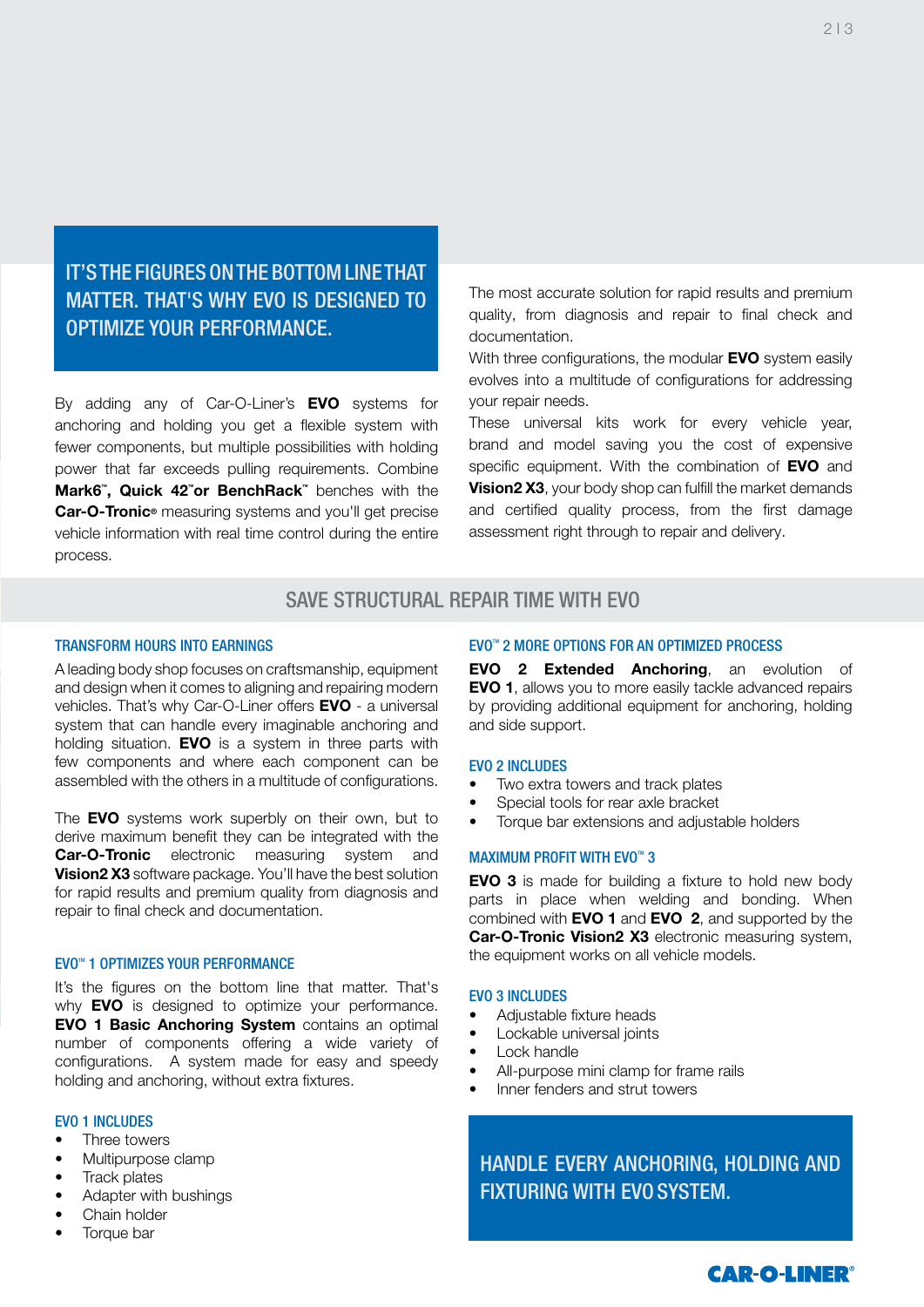IT'S THE FIGURES ON THE BOTTOM LINE THAT MATTER. THAT'S WHY EVO IS DESIGNED TO OPTIMIZE YOUR PERFORMANCE.

By adding any of Car-O-Liner's **EVO** systems for anchoring and holding you get a flexible system with fewer components, but multiple possibilities with holding power that far exceeds pulling requirements. Combine Mark6", Quick 42"or BenchRack" benches with the Car-O-Tronic<sup>®</sup> measuring systems and you'll get precise vehicle information with real time control during the entire process.

The most accurate solution for rapid results and premium quality, from diagnosis and repair to final check and documentation.

With three configurations, the modular EVO system easily evolves into a multitude of configurations for addressing your repair needs.

These universal kits work for every vehicle year, brand and model saving you the cost of expensive specific equipment. With the combination of EVO and **Vision2 X3**, your body shop can fulfill the market demands and certified quality process, from the first damage assessment right through to repair and delivery.

### SAVE STRUCTURAL REPAIR TIME WITH EVO

#### TRANSFORM HOURS INTO EARNINGS

A leading body shop focuses on craftsmanship, equipment and design when it comes to aligning and repairing modern vehicles. That's why Car-O-Liner offers **EVO** - a universal system that can handle every imaginable anchoring and holding situation. **EVO** is a system in three parts with few components and where each component can be assembled with the others in a multitude of configurations.

The **EVO** systems work superbly on their own, but to derive maximum benefit they can be integrated with the **Car-O-Tronic** electronic measuring system and Vision2 X3 software package. You'll have the best solution for rapid results and premium quality from diagnosis and repair to final check and documentation.

#### **EVO™ 1 OPTIMIZES YOUR PERFORMANCE**

It's the figures on the bottom line that matter. That's why **EVO** is designed to optimize your performance. EVO 1 Basic Anchoring System contains an optimal number of components offering a wide variety of configurations. A system made for easy and speedy holding and anchoring, without extra fixtures.

#### **EVO 1 INCLUDES**

- Three towers
- Multipurpose clamp
- Track plates
- Adapter with bushings
- Chain holder
- Torque bar

#### EVO™ 2 MORE OPTIONS FOR AN OPTIMIZED PROCESS

EVO 2 Extended Anchoring, an evolution of EVO 1, allows you to more easily tackle advanced repairs by providing additional equipment for anchoring, holding and side support.

#### EVO 2 INCLUDES

- Two extra towers and track plates
- Special tools for rear axle bracket
- Torque bar extensions and adjustable holders

#### **MAXIMUM PROFIT WITH EVO™ 3**

EVO 3 is made for building a fixture to hold new body parts in place when welding and bonding. When combined with EVO 1 and EVO 2, and supported by the Car-O-Tronic Vision2 X3 electronic measuring system, the equipment works on all vehicle models.

#### EVO 3 INCLUDES

- Adjustable fixture heads
- Lockable universal joints
- Lock handle
- All-purpose mini clamp for frame rails
- Inner fenders and strut towers

HANDLE EVERY ANCHORING, HOLDING AND FIXTURING WITH EVO SYSTEM.